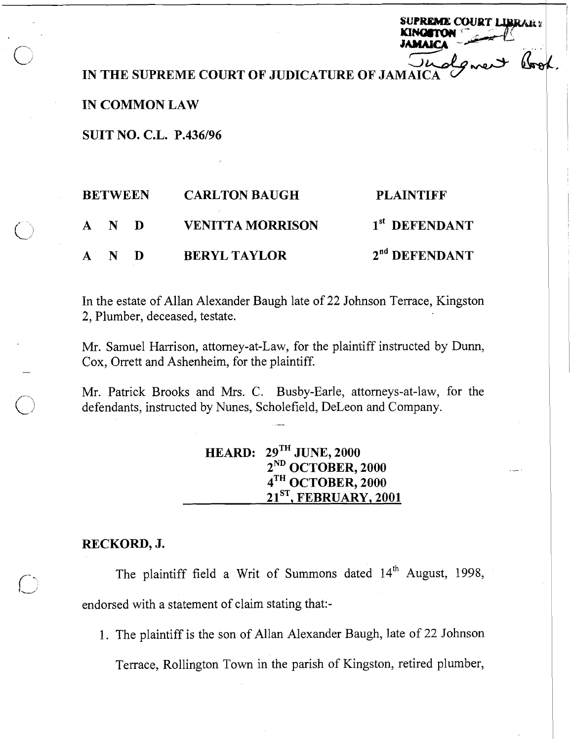**IN THE SUPREME COURT OF JUDICATURE OF JAMA** 

and the

**SUPREME COURT LIBRARY** 

## **IN COMMON LAW**

**SUIT NO. C.L. P.436196** 

| <b>BETWEEN</b>        | <b>CARLTON BAUGH</b>    | <b>PLAINTIFF</b>          |
|-----------------------|-------------------------|---------------------------|
| A N D                 | <b>VENITTA MORRISON</b> | 1 <sup>st</sup> DEFENDANT |
| $N$ D<br>$\mathbf{A}$ | <b>BERYL TAYLOR</b>     | 2 <sup>nd</sup> DEFENDANT |

In the estate of Allan Alexander Baugh late of 22 Johnson Terrace, Kingston 2, Plumber, deceased, testate.

Mr. Samuel Harrison, attorney-at-law, for the plaintiff instructed by Dunn, Cox, Orrett and Ashenheim, for the plaintiff.

Mr. Patrick Brooks and Mrs. C. Busby-Earle, attorneys-at-law, for the defendants, instructed by Nunes, Scholefield, DeLeon and Company.

| HEARD: $29^{\text{TH}}$ JUNE, 2000 |  |
|------------------------------------|--|
| $2^{ND}$ OCTOBER, 2000             |  |
| $4TH$ OCTOBER, 2000                |  |
| $21ST$ , FEBRUARY, 2001            |  |

# **RECKORD, J.**

-

The plaintiff field a Writ of Summons dated 14<sup>th</sup> August, 1998, endorsed with a statement of claim stating that:-

1. The plaintiff is the son of Allan Alexander Baugh, late of 22 Johnson Terrace, Rollington Town in the parish of Kingston, retired plumber,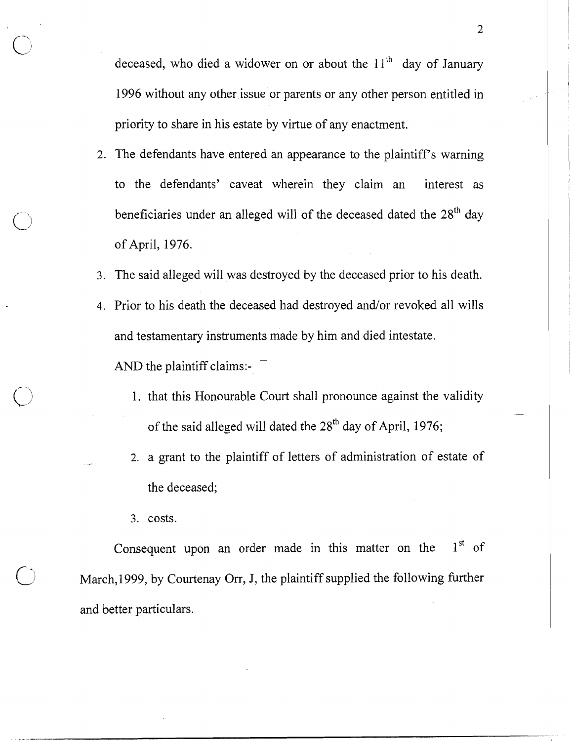deceased, who died a widower on or about the  $11<sup>th</sup>$  day of January 1996 without any other issue or parents or any other person entitled in priority to share in his estate by virtue of any enactment.

- 2. The defendants have entered an appearance to the plaintiff's warning to the defendants' caveat wherein they claim an interest as beneficiaries under an alleged will of the deceased dated the *28"* day of April, 1976.
- 3. The said alleged will was destroyed by the deceased prior to his death.
- 4. Prior to his death the deceased had destroyed and/or revoked all wills and testamentary instruments made by him and died intestate. - AND the plaintiff claims:-
	- 1. that this Honourable Court shall pronounce against the validity of the said alleged will dated the *2gth* day of April, 1976;
	- 2. a grant to the plaintiff of letters of administration of estate of the deceased;
	- 3. costs.

Consequent upon an order made in this matter on the  $1<sup>st</sup>$  of March, 1999, by Courtenay Orr, J, the plaintiff supplied the following further and better particulars.

~-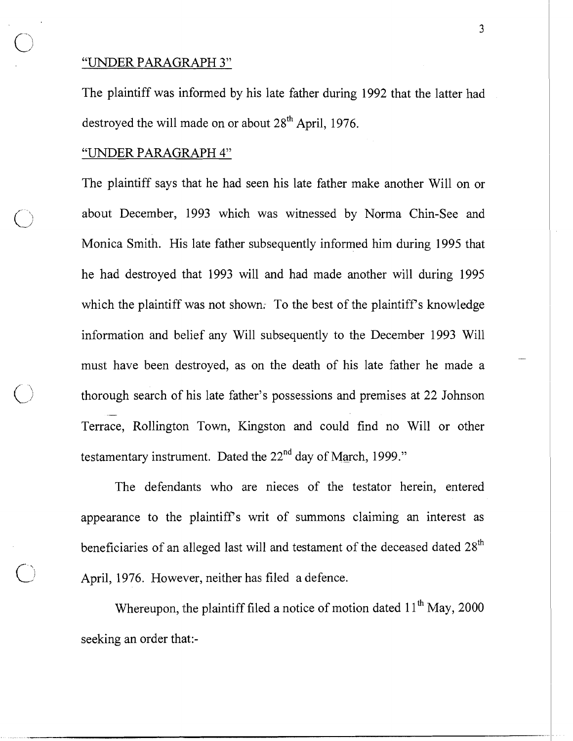# "UNDER PARAGRAPH 3"

The plaintiff was informed by his late father during 1992 that the latter had destroyed the will made on or about  $28<sup>th</sup>$  April, 1976.

#### "UNDER PARAGRAPH 4"

The plaintiff says that he had seen his late father make another Will on or about December, 1993 which was witnessed by Norma Chin-See and Monica Smith. His late father subsequently informed him during 1995 that he had destroyed that 1993 will and had made another will during 1995 which the plaintiff was not shown. To the best of the plaintiff's knowledge information and belief any Will subsequently to the December 1993 Will must have been destroyed, as on the death of his late father he made a thorough search of his late father's possessions and premises at 22 Johnson - Terrace, Rollington Town, Kingston and could find no Will or other testamentary instrument. Dated the  $22<sup>nd</sup>$  day of March, 1999."

The defendants who are nieces of the testator herein, entered appearance to the plaintiff's writ of summons claiming an interest as beneficiaries of an alleged last will and testament of the deceased dated 28<sup>th</sup> April, 1976. However, neither has filed a defence.

Whereupon, the plaintiff filed a notice of motion dated  $11<sup>th</sup>$  May, 2000 seeking an order that:-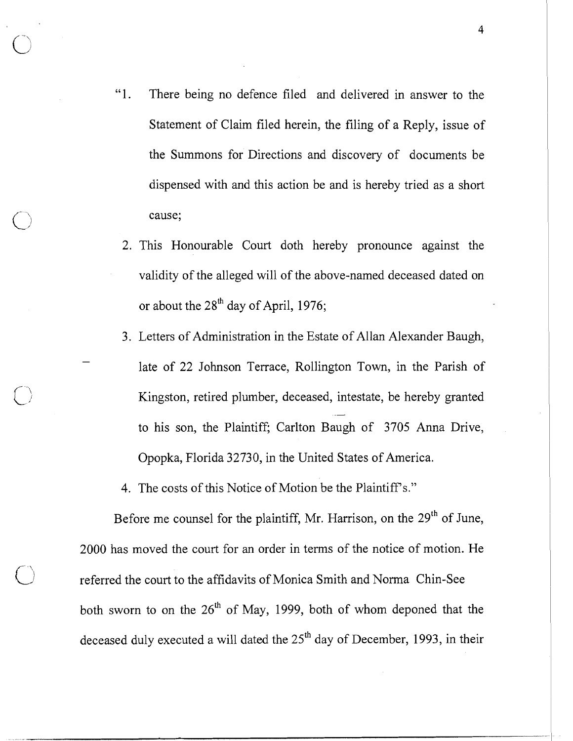- "1. There being no defence filed and delivered in answer to the Statement of Claim filed herein, the filing of a Reply, issue of the Summons for Directions and discovery of documents be dispensed with and this action be and is hereby tried as a short cause;
- 2. This Honourable Court doth hereby pronounce against the validity of the alleged will of the above-named deceased dated on or about the  $28<sup>th</sup>$  day of April, 1976;
- 3. Letters of Administration in the Estate of Allan Alexander Baugh, late of 22 Johnson Terrace, Rollington Town, in the Parish of Kingston, retired plumber, deceased, intestate, be hereby granted to his son, the Plaintiff; Carlton Baugh of 3705 Anna Drive, Opopka, Florida 32730, in the United States of America.

4. The costs of this Notice of Motion be the Plaintiff's."

Before me counsel for the plaintiff, Mr. Harrison, on the 29<sup>th</sup> of June, 2000 has moved the court for an order in terms of the notice of motion. He b referred the court to the affidavits of Monica Smith and Norma Chin-See both sworn to on the  $26<sup>th</sup>$  of May, 1999, both of whom deponed that the deceased duly executed a will dated the 25<sup>th</sup> day of December, 1993, in their

4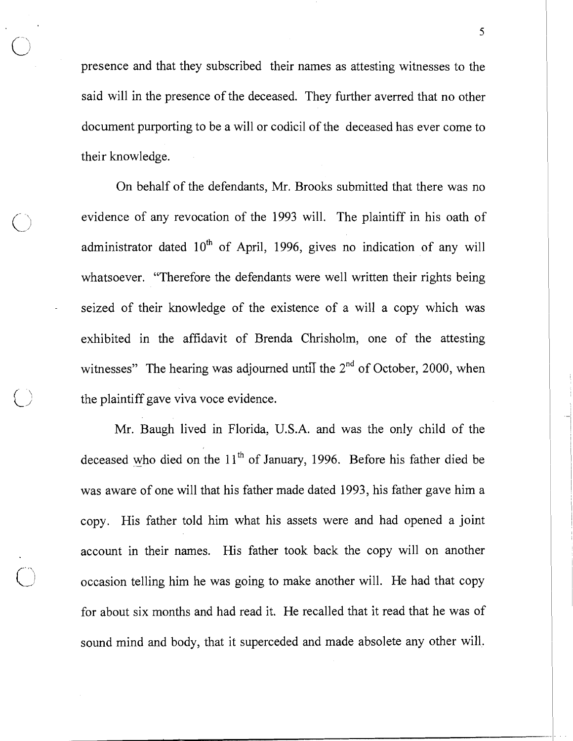presence and that they subscribed their names as attesting witnesses to the said will in the presence of the deceased. They further averred that no other document purporting to be a will or codicil of the deceased has ever come to their knowledge.

On behalf of the defendants, Mr. Brooks submitted that there was no evidence of any revocation of the 1993 will. The plaintiff in his oath of administrator dated  $10^{th}$  of April, 1996, gives no indication of any will whatsoever. "Therefore the defendants were well written their rights being seized of their knowledge of the existence of a will a copy which was exhibited in the affidavit of Brenda Chrisholm, one of the attesting witnesses" The hearing was adjourned until the  $2<sup>nd</sup>$  of October, 2000, when the plaintiff gave viva voce evidence.

Mr. Baugh lived in Florida, U.S.A. and was the only child of the deceased who died on the  $11<sup>th</sup>$  of January, 1996. Before his father died be was aware of one will that his father made dated 1993, his father gave him a copy. His father told him what his assets were and had opened a joint account in their names. His father took back the copy will on another occasion telling him he was going to make another will. He had that copy for about six months and had read it. He recalled that it read that he was of sound mind and body, that it superceded and made absolete any other will.

5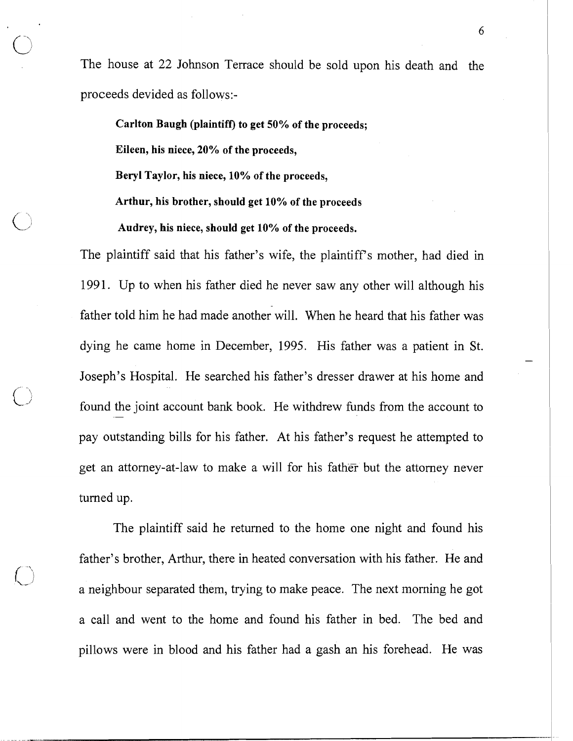The house at 22 Johnson Terrace should be sold upon his death and the proceeds devided as follows:-

**Carlton Baugh (plaintiff) to get 50% of the proceeds;** 

**Eileen, his niece, 20% of the proceeds,** 

**Beryl Taylor, his niece, 10% of the proceeds,** 

**Arthur, his brother, should get 10% of the proceeds** 

**Audrey, his niece, should get 10% of the proceeds.** 

The plaintiff said that his father's wife, the plaintiff's mother, had died in 1991. Up to when his father died he never saw any other will although his father told him he had made another will. When he heard that his father was dying he came home in December, 1995. His father was a patient in St. Joseph's Hospital. He searched his father's dresser drawer at his home and found the joint account bank book. He withdrew funds from the account to pay outstanding bills for his father. At his father's request he attempted to get an attorney-at-law to make a will for his father but the attorney never turned up.

The plaintiff said he returned to the home one night and found his father's brother, Arthur, there in heated conversation with his father. He and a neighbour separated them, trying to make peace. The next morning he got a call and went to the home and found his father in bed. The bed and pillows were in blood and his father had a gash an his forehead. He was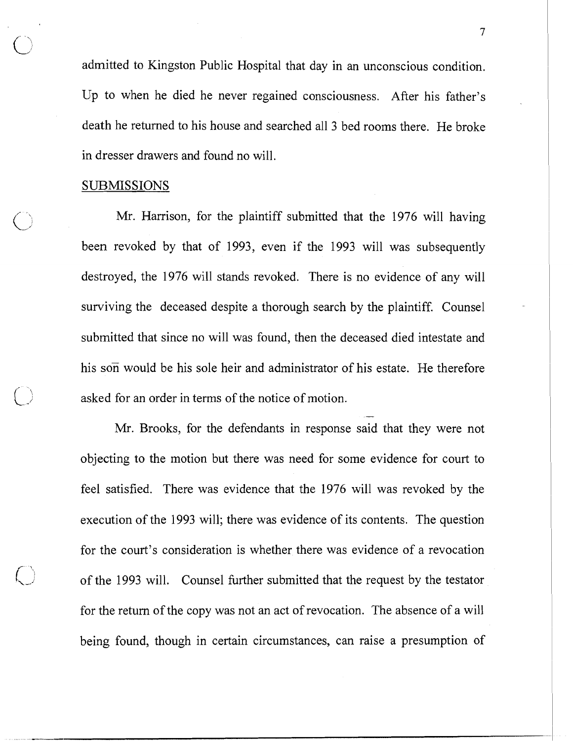admitted to Kingston Public Hospital that day in an unconscious condition. Up to when he died he never regained consciousness. After his father's death he returned to his house and searched all 3 bed rooms there. He broke in dresser drawers and found no will.

 $\overline{7}$ 

#### SUBMISSIONS

Mr. Harrison, for the plaintiff submitted that the 1976 will having been revoked by that of 1993, even if the 1993 will was subsequently destroyed, the 1976 will stands revoked. There is no evidence of any will surviving the deceased despite a thorough search by the plaintiff. Counsel submitted that since no will was found, then the deceased died intestate and his son would be his sole heir and administrator of his estate. He therefore asked for an order in terms of the notice of motion. -

Mr. Brooks, for the defendants in response said that they were not objecting to the motion but there was need for some evidence for court to feel satisfied. There was evidence that the 1976 will was revoked by the execution of the 1993 will; there was evidence of its contents. The question for the court's consideration is whether there was evidence of a revocation of the 1993 will. Counsel further submitted that the request by the testator for the return of the copy was not an act of revocation. The absence of a will being found, though in certain circumstances, can raise a presumption of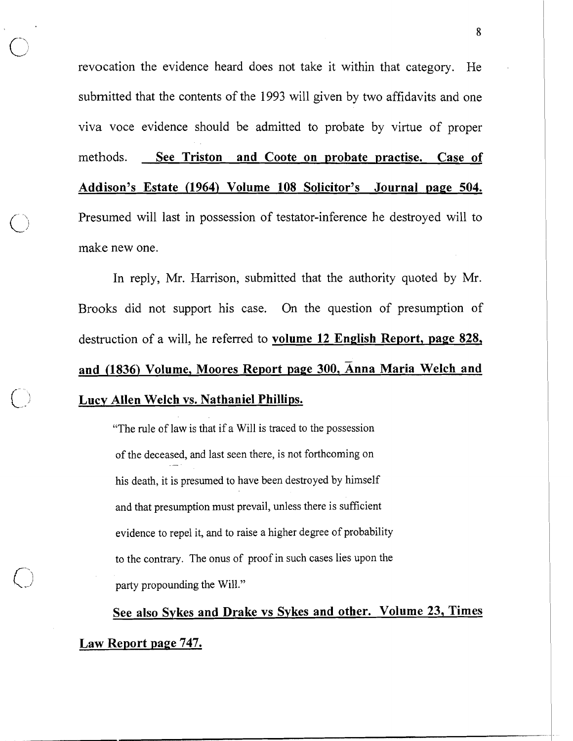revocation the evidence heard does not take it within that category. He submitted that the contents of the 1993 will given by two affidavits and one viva voce evidence should be admitted to probate by virtue of proper methods. **See Triston and Coote on probate practise. Case of Addison's Estate (1964) Volume 108 Solicitor's Journal page 504.**  Presumed will last in possession of testator-inference he destroyed will to make new one.

In reply, Mr. Harrison, submitted that the authority quoted by Mr. Brooks did not support his case. On the question of presumption of destruction of a will, he referred to **volume 12 English Report, page 828, and (1836) Volume. Moores Report page 300. Anna Maria Welch and Lucy Allen Welch vs. Nathaniel Phillips.** 

"The rule of law is that if a Will is traced to the possession of the deceased, and last seen there, is not forthcoming on his death, it is presumed to have been destroyed by himself and that presumption must prevail, unless there is sufficient evidence to repel it, and to raise a higher degree of probability to the contrary. The onus of proof in such cases lies upon the party propounding the Will."

**See also Sykes and Drake vs Sykes and other. Volume 23, Times** 

**Law Report page 747.** 

8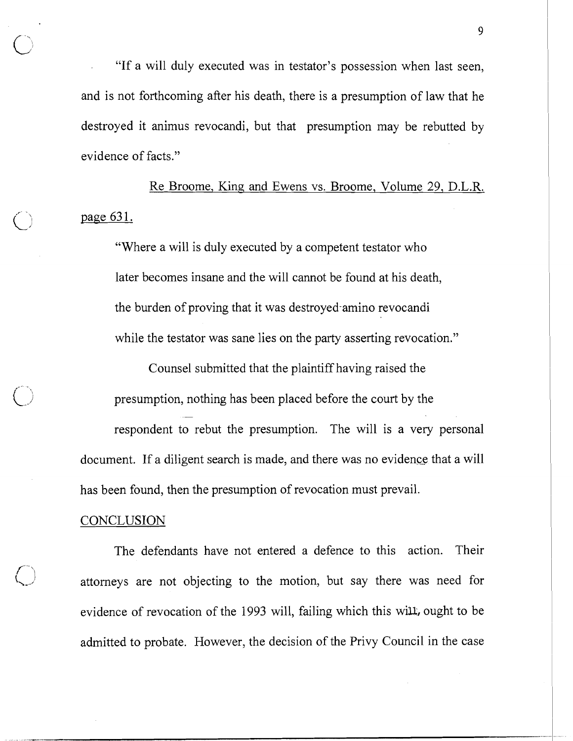"If a will duly executed was in testator's possession when last seen, and is not forthcoming after his death, there is a presumption of law that he destroyed it animus revocandi, but that presumption may be rebutted by evidence of facts."

Re Broome, King and Ewens vs. Broome, Volume 29, D.L.R. page 631.

"Where a will is duly executed by a competent testator who later becomes insane and the will cannot be found at his death, the burden of proving that it was destroyed-amino revocandi while the testator was sane lies on the party asserting revocation."

Counsel submitted that the plaintiff having raised the presumption, nothing has been placed before the court by the respondent to rebut the presumption. The will is a very personal document. If a diligent search is made, and there was no evidence that a will has been found, then the presumption of revocation must prevail.

## **CONCLUSION**

The defendants have not entered a defence to this action. Their attorneys are not objecting to the motion, but say there was need for evidence of revocation of the 1993 will, failing which this will, ought to be admitted to probate. However, the decision of the Privy Council in the case